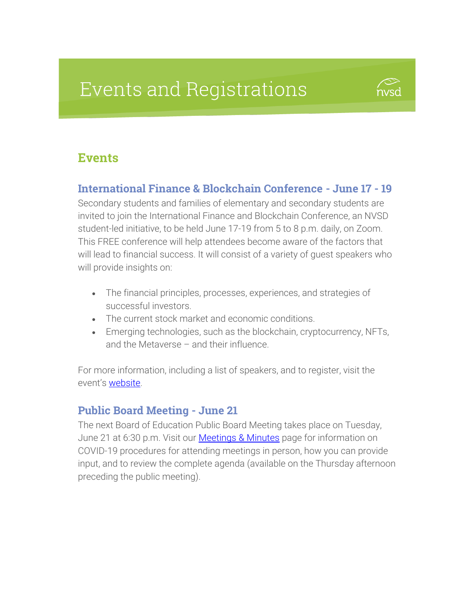# **Events and Registrations**



# **Events**

#### International Finance & Blockchain Conference - June 17 - 19

Secondary students and families of elementary and secondary students are invited to join the International Finance and Blockchain Conference, an NVSD student-led initiative, to be held June 17-19 from 5 to 8 p.m. daily, on Zoom. This FREE conference will help attendees become aware of the factors that will lead to financial success. It will consist of a variety of guest speakers who will provide insights on:

- The financial principles, processes, experiences, and strategies of successful investors.
- The current stock market and economic conditions.
- Emerging technologies, such as the blockchain, cryptocurrency, NFTs, and the Metaverse – and their influence.

For more information, including a list of speakers, and to register, visit the event's [website.](https://myflyglobal.com/conference)

#### Public Board Meeting - June 21

The next Board of Education Public Board Meeting takes place on Tuesday, June 21 at 6:30 p.m. Visit our **Meetings & Minutes** page for information on COVID-19 procedures for attending meetings in person, how you can provide input, and to review the complete agenda (available on the Thursday afternoon preceding the public meeting).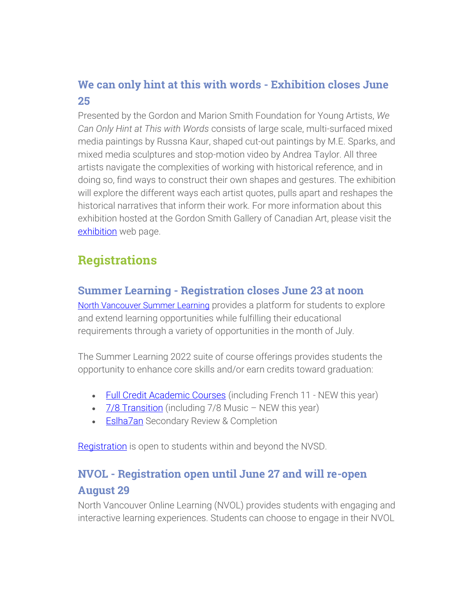# We can only hint at this with words - Exhibition closes June 25

Presented by the Gordon and Marion Smith Foundation for Young Artists, *We Can Only Hint at This with Words* consists of large scale, multi-surfaced mixed media paintings by Russna Kaur, shaped cut-out paintings by M.E. Sparks, and mixed media sculptures and stop-motion video by Andrea Taylor. All three artists navigate the complexities of working with historical reference, and in doing so, find ways to construct their own shapes and gestures. The exhibition will explore the different ways each artist quotes, pulls apart and reshapes the historical narratives that inform their work. For more information about this exhibition hosted at the Gordon Smith Gallery of Canadian Art, please visit the [exhibition](https://www.sd44.ca/school/artistsforkids/Visit/Exhibitions/Pages/default.aspx#/=) web page.

# **Registrations**

#### Summer Learning - Registration closes June 23 at noon

[North Vancouver Summer Learning](https://www.sd44.ca/school/summer/Pages/default.aspx#/=) provides a platform for students to explore and extend learning opportunities while fulfilling their educational requirements through a variety of opportunities in the month of July.

The Summer Learning 2022 suite of course offerings provides students the opportunity to enhance core skills and/or earn credits toward graduation:

- [Full Credit Academic Courses](https://www.sd44.ca/school/summer/ProgramsServices/FullCredit/Pages/default.aspx#/=) (including French 11 NEW this year)
- [7/8 Transition](https://www.sd44.ca/school/summer/ProgramsServices/Grade78TransitionCourses/Pages/default.aspx#/=) (including 7/8 Music NEW this year)
- **[Eslha7an](https://www.sd44.ca/school/summer/ProgramsServices/Pages/Eslha7an.aspx#/=) Secondary Review & Completion**

[Registration](https://www.sd44.ca/school/summer/Registration/Pages/default.aspx#/=) is open to students within and beyond the NVSD.

# NVOL - Registration open until June 27 and will re-open August 29

North Vancouver Online Learning (NVOL) provides students with engaging and interactive learning experiences. Students can choose to engage in their NVOL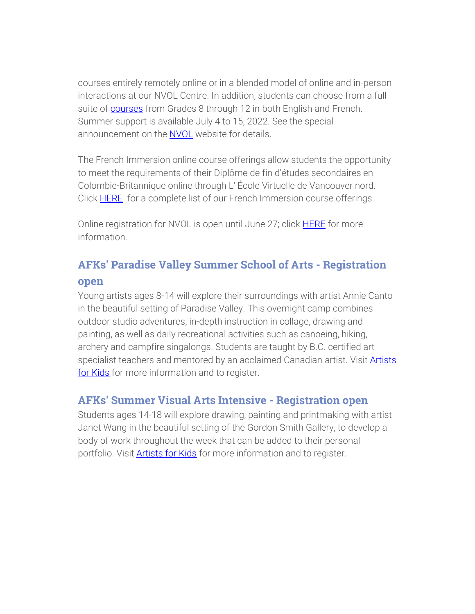courses entirely remotely online or in a blended model of online and in-person interactions at our NVOL Centre. In addition, students can choose from a full suite of [courses](https://www.sd44.ca/school/onlinelearning/ProgramsServices/Courses/Pages/default.aspx#/=) from Grades 8 through 12 in both English and French. Summer support is available July 4 to 15, 2022. See the special announcement on the [NVOL](https://www.sd44.ca/school/onlinelearning/Pages/default.aspx#/=) website for details.

The French Immersion online course offerings allow students the opportunity to meet the requirements of their Diplôme de fin d'études secondaires en Colombie-Britannique online through L' École Virtuelle de Vancouver nord. Click **HERE** for a complete list of our French Immersion course offerings.

Online registration for NVOL is open until June 27; click **HERE** for more information.

# AFKs' Paradise Valley Summer School of Arts - Registration open

Young artists ages 8-14 will explore their surroundings with artist Annie Canto in the beautiful setting of Paradise Valley. This overnight camp combines outdoor studio adventures, in-depth instruction in collage, drawing and painting, as well as daily recreational activities such as canoeing, hiking, archery and campfire singalongs. Students are taught by B.C. certified art specialist teachers and mentored by an acclaimed Canadian artist. Visit **Artists** [for Kids](https://www.sd44.ca/school/artistsforkids/learn/paradisevalleysummervisualartscamps/Pages/default.aspx#/=) for more information and to register.

#### AFKs' Summer Visual Arts Intensive - Registration open

Students ages 14-18 will explore drawing, painting and printmaking with artist Janet Wang in the beautiful setting of the Gordon Smith Gallery, to develop a body of work throughout the week that can be added to their personal portfolio. Visit **Artists for Kids** for more information and to register.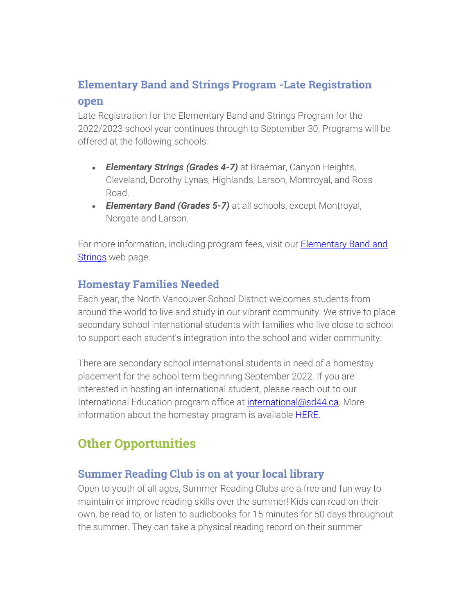## Elementary Band and Strings Program -Late Registration

#### open

Late Registration for the Elementary Band and Strings Program for the 2022/2023 school year continues through to September 30. Programs will be offered at the following schools:

- *Elementary Strings (Grades 4-7)* at Braemar, Canyon Heights, Cleveland, Dorothy Lynas, Highlands, Larson, Montroyal, and Ross Road.
- *Elementary Band (Grades 5-7)* at all schools, except Montroyal, Norgate and Larson.

For more information, including program fees, visit our **Elementary Band and** [Strings](https://www.sd44.ca/ProgramsServices/BandStrings/Pages/default.aspx#/=) web page.

#### Homestay Families Needed

Each year, the North Vancouver School District welcomes students from around the world to live and study in our vibrant community. We strive to place secondary school international students with families who live close to school to support each student's integration into the school and wider community.

There are secondary school international students in need of a homestay placement for the school term beginning September 2022. If you are interested in hosting an international student, please reach out to our International Education program office at [international@sd44.ca.](mailto:international@sd44.ca) More information about the homestay program is available [HERE.](https://www.sd44.ca/ProgramsServices/InternationalEd/Homestay%20Information/Pages/default.aspx#/=)

# Other Opportunities

#### Summer Reading Club is on at your local library

Open to youth of all ages, Summer Reading Clubs are a free and fun way to maintain or improve reading skills over the summer! Kids can read on their own, be read to, or listen to audiobooks for 15 minutes for 50 days throughout the summer. They can take a physical reading record on their summer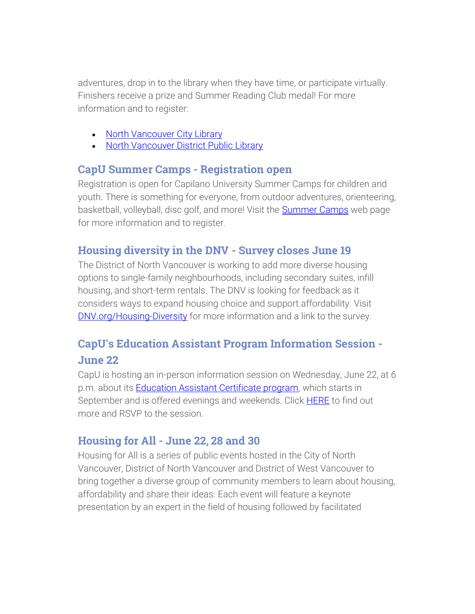adventures, drop in to the library when they have time, or participate virtually. Finishers receive a prize and Summer Reading Club medal! For more information and to register:

- [North Vancouver City Library](http://www.nvcl.ca/src)
- [North Vancouver District Public Library](https://nvdpl.ca/src)

#### CapU Summer Camps - Registration open

Registration is open for Capilano University Summer Camps for children and youth. There is something for everyone, from outdoor adventures, orienteering, basketball, volleyball, disc golf, and more! Visit the **Summer Camps** web page for more information and to register.

## Housing diversity in the DNV - Survey closes June 19

The District of North Vancouver is working to add more diverse housing options to single-family neighbourhoods, including secondary suites, infill housing, and short-term rentals. The DNV is looking for feedback as it considers ways to expand housing choice and support affordability. Visit [DNV.org/Housing-Diversity](https://www.dnv.org/housing-diversity-single-family-neighbourhoods) for more information and a link to the survey.

## CapU's Education Assistant Program Information Session - June 22

CapU is hosting an in-person information session on Wednesday, June 22, at 6 p.m. about its **Education Assistant Certificate program**, which starts in September and is offered evenings and weekends. Click **HERE** to find out more and RSVP to the session.

#### Housing for All - June 22, 28 and 30

Housing for All is a series of public events hosted in the City of North Vancouver, District of North Vancouver and District of West Vancouver to bring together a diverse group of community members to learn about housing, affordability and share their ideas. Each event will feature a keynote presentation by an expert in the field of housing followed by facilitated